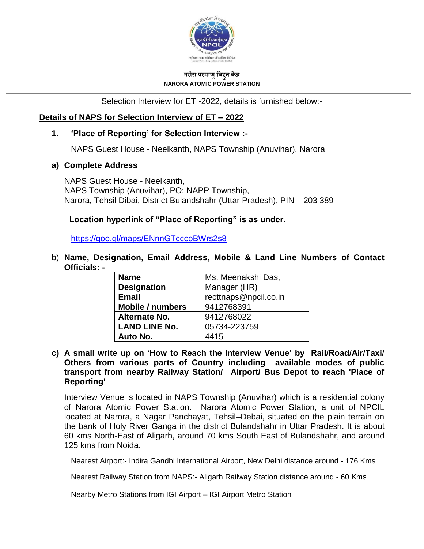

#### **नरौरा परमाणुविद्दुत केंद्र NARORA ATOMIC POWER STATION**

Selection Interview for ET -2022, details is furnished below:-

# **Details of NAPS for Selection Interview of ET – 2022**

### **1. 'Place of Reporting' for Selection Interview :-**

NAPS Guest House - Neelkanth, NAPS Township (Anuvihar), Narora

#### **a) Complete Address**

NAPS Guest House - Neelkanth, NAPS Township (Anuvihar), PO: NAPP Township, Narora, Tehsil Dibai, District Bulandshahr (Uttar Pradesh), PIN – 203 389

# **Location hyperlink of "Place of Reporting" is as under.**

<https://goo.gl/maps/ENnnGTcccoBWrs2s8>

b) **Name, Designation, Email Address, Mobile & Land Line Numbers of Contact Officials: -**

| <b>Name</b>          | Ms. Meenakshi Das,    |  |
|----------------------|-----------------------|--|
| <b>Designation</b>   | Manager (HR)          |  |
| <b>Email</b>         | recttnaps@npcil.co.in |  |
| Mobile / numbers     | 9412768391            |  |
| Alternate No.        | 9412768022            |  |
| <b>LAND LINE No.</b> | 05734-223759          |  |
| Auto No.             | 4415                  |  |

**c) A small write up on 'How to Reach the Interview Venue' by Rail/Road/Air/Taxi/ Others from various parts of Country including available modes of public transport from nearby Railway Station/ Airport/ Bus Depot to reach 'Place of Reporting'**

Interview Venue is located in NAPS Township (Anuvihar) which is a residential colony of Narora Atomic Power Station. Narora Atomic Power Station, a unit of NPCIL located at Narora, a Nagar Panchayat, Tehsil–Debai, situated on the plain terrain on the bank of Holy River Ganga in the district Bulandshahr in Uttar Pradesh. It is about 60 kms North-East of Aligarh, around 70 kms South East of Bulandshahr, and around 125 kms from Noida.

Nearest Airport:- Indira Gandhi International Airport, New Delhi distance around - 176 Kms

Nearest Railway Station from NAPS:- Aligarh Railway Station distance around - 60 Kms

Nearby Metro Stations from IGI Airport – IGI Airport Metro Station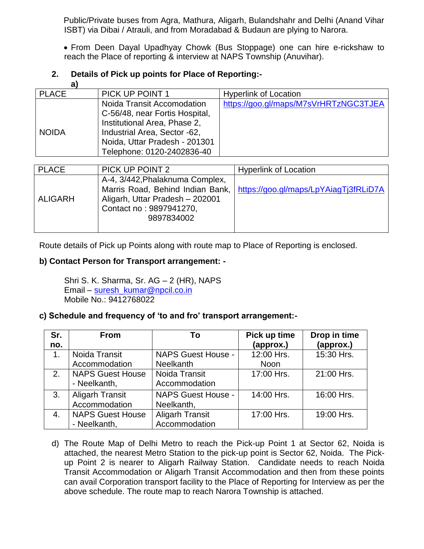Public/Private buses from Agra, Mathura, Aligarh, Bulandshahr and Delhi (Anand Vihar ISBT) via Dibai / Atrauli, and from Moradabad & Budaun are plying to Narora.

 From Deen Dayal Upadhyay Chowk (Bus Stoppage) one can hire e-rickshaw to reach the Place of reporting & interview at NAPS Township (Anuvihar).

# **2. Details of Pick up points for Place of Reporting:-**

| aı           |                                |                                       |
|--------------|--------------------------------|---------------------------------------|
| <b>PLACE</b> | PICK UP POINT 1                | <b>Hyperlink of Location</b>          |
|              | Noida Transit Accomodation     | https://goo.gl/maps/M7sVrHRTzNGC3TJEA |
|              | C-56/48, near Fortis Hospital, |                                       |
|              | Institutional Area, Phase 2,   |                                       |
| <b>NOIDA</b> | Industrial Area, Sector -62,   |                                       |
|              | Noida, Uttar Pradesh - 201301  |                                       |
|              | Telephone: 0120-2402836-40     |                                       |

| <b>PLACE</b>   | PICK UP POINT 2                                                                                                                                 | <b>Hyperlink of Location</b>          |
|----------------|-------------------------------------------------------------------------------------------------------------------------------------------------|---------------------------------------|
| <b>ALIGARH</b> | A-4, 3/442, Phalaknuma Complex,<br>Marris Road, Behind Indian Bank,<br>Aligarh, Uttar Pradesh - 202001<br>Contact no: 9897941270,<br>9897834002 | https://goo.gl/maps/LpYAiagTj3fRLiD7A |

Route details of Pick up Points along with route map to Place of Reporting is enclosed.

# **b) Contact Person for Transport arrangement: -**

Shri S. K. Sharma, Sr. AG – 2 (HR), NAPS Email – [suresh\\_kumar@npcil.co.in](mailto:suresh_kumar@npcil.co.in) Mobile No.: 9412768022

#### **c) Schedule and frequency of 'to and fro' transport arrangement:-**

| Sr. | <b>From</b>             | To                        | Pick up time | Drop in time |
|-----|-------------------------|---------------------------|--------------|--------------|
| no. |                         |                           | (approx.)    | (approx.)    |
| 1.  | Noida Transit           | <b>NAPS Guest House -</b> | 12:00 Hrs.   | 15:30 Hrs.   |
|     | Accommodation           | Neelkanth                 | Noon         |              |
| 2.  | <b>NAPS Guest House</b> | Noida Transit             | 17:00 Hrs.   | 21:00 Hrs.   |
|     | - Neelkanth,            | Accommodation             |              |              |
| 3.  | <b>Aligarh Transit</b>  | <b>NAPS Guest House -</b> | 14:00 Hrs.   | 16:00 Hrs.   |
|     | Accommodation           | Neelkanth,                |              |              |
| 4.  | <b>NAPS Guest House</b> | <b>Aligarh Transit</b>    | 17:00 Hrs.   | 19:00 Hrs.   |
|     | - Neelkanth,            | Accommodation             |              |              |

d) The Route Map of Delhi Metro to reach the Pick-up Point 1 at Sector 62, Noida is attached, the nearest Metro Station to the pick-up point is Sector 62, Noida. The Pickup Point 2 is nearer to Aligarh Railway Station. Candidate needs to reach Noida Transit Accommodation or Aligarh Transit Accommodation and then from these points can avail Corporation transport facility to the Place of Reporting for Interview as per the above schedule. The route map to reach Narora Township is attached.